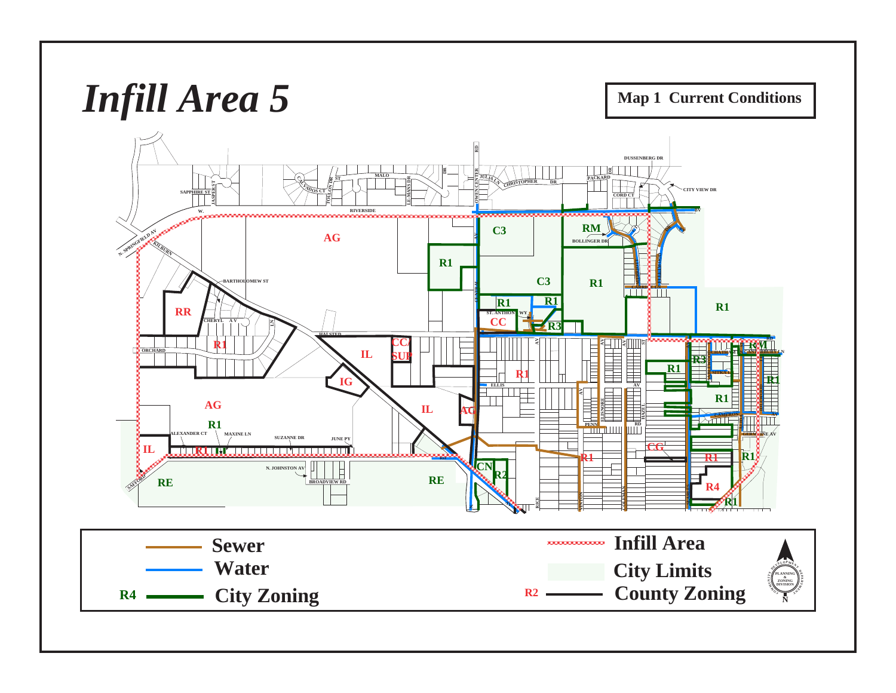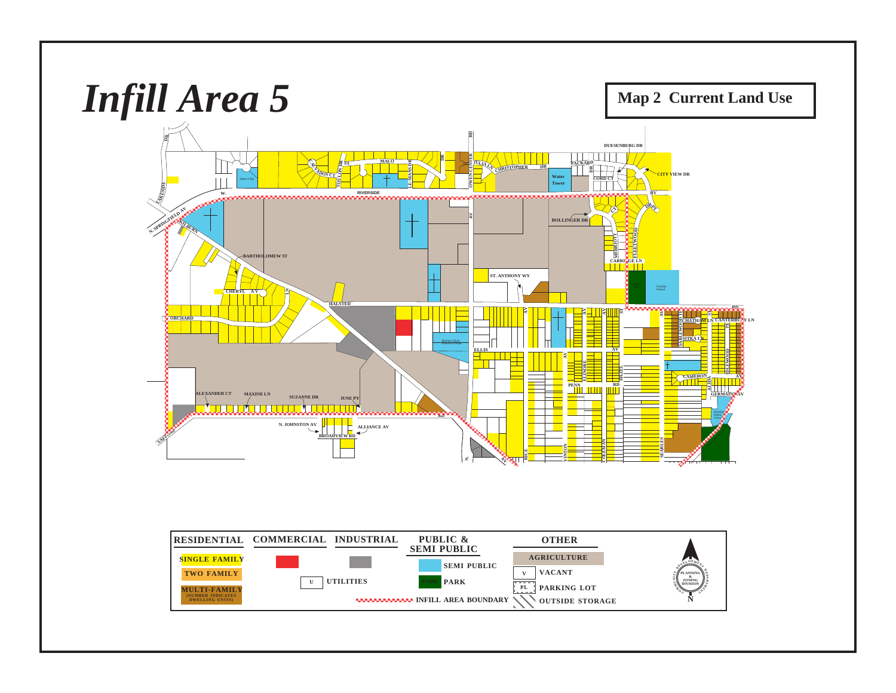